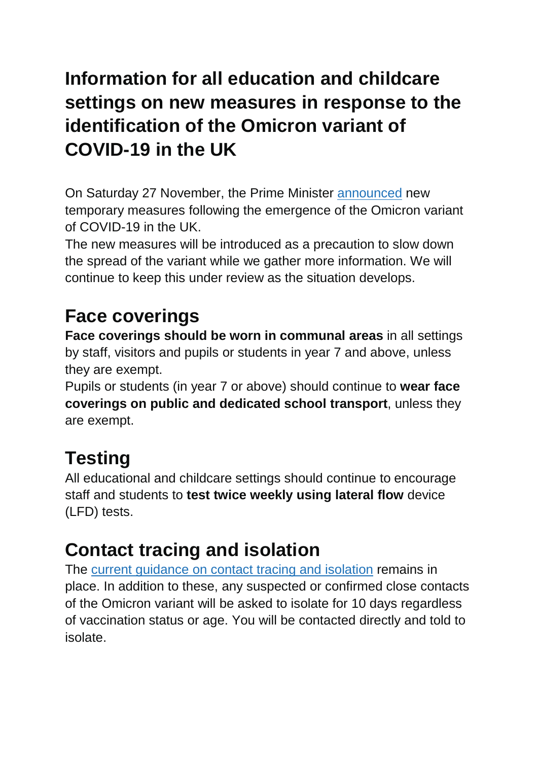# **Information for all education and childcare settings on new measures in response to the identification of the Omicron variant of COVID-19 in the UK**

On Saturday 27 November, the Prime Minister [announced](https://www.gov.uk/government/news/prime-minister-sets-out-new-measures-as-omicron-variant-identified-in-uk-27-november-2021?utm_source=28%20November%202021%20C19&utm_medium=Daily%20Email%20C19&utm_campaign=DfE%20C19) new temporary measures following the emergence of the Omicron variant of COVID-19 in the UK.

The new measures will be introduced as a precaution to slow down the spread of the variant while we gather more information. We will continue to keep this under review as the situation develops.

# **Face coverings**

**Face coverings should be worn in communal areas** in all settings by staff, visitors and pupils or students in year 7 and above, unless they are exempt.

Pupils or students (in year 7 or above) should continue to **wear face coverings on public and dedicated school transport**, unless they are exempt.

#### **Testing**

All educational and childcare settings should continue to encourage staff and students to **test twice weekly using lateral flow** device (LFD) tests.

#### **Contact tracing and isolation**

The current [guidance](https://www.gov.uk/government/publications/covid-19-stay-at-home-guidance/stay-at-home-guidance-for-households-with-possible-coronavirus-covid-19-infection?utm_source=28%20November%202021%20C19&utm_medium=Daily%20Email%20C19&utm_campaign=DfE%20C19) on contact tracing and isolation remains in place. In addition to these, any suspected or confirmed close contacts of the Omicron variant will be asked to isolate for 10 days regardless of vaccination status or age. You will be contacted directly and told to isolate.